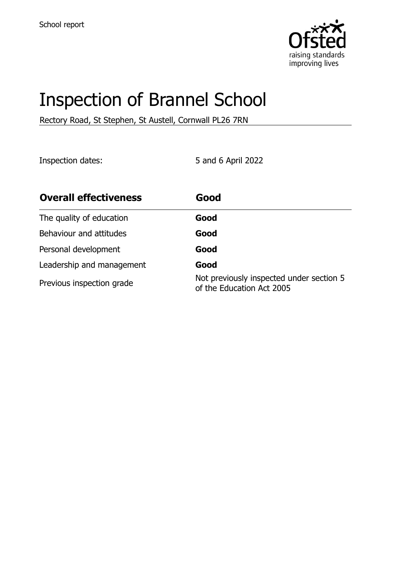

# Inspection of Brannel School

Rectory Road, St Stephen, St Austell, Cornwall PL26 7RN

Inspection dates: 5 and 6 April 2022

| <b>Overall effectiveness</b> | Good                                                                  |
|------------------------------|-----------------------------------------------------------------------|
| The quality of education     | Good                                                                  |
| Behaviour and attitudes      | Good                                                                  |
| Personal development         | Good                                                                  |
| Leadership and management    | Good                                                                  |
| Previous inspection grade    | Not previously inspected under section 5<br>of the Education Act 2005 |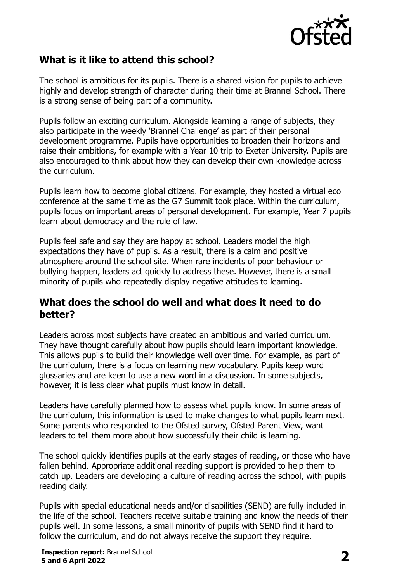

## **What is it like to attend this school?**

The school is ambitious for its pupils. There is a shared vision for pupils to achieve highly and develop strength of character during their time at Brannel School. There is a strong sense of being part of a community.

Pupils follow an exciting curriculum. Alongside learning a range of subjects, they also participate in the weekly 'Brannel Challenge' as part of their personal development programme. Pupils have opportunities to broaden their horizons and raise their ambitions, for example with a Year 10 trip to Exeter University. Pupils are also encouraged to think about how they can develop their own knowledge across the curriculum.

Pupils learn how to become global citizens. For example, they hosted a virtual eco conference at the same time as the G7 Summit took place. Within the curriculum, pupils focus on important areas of personal development. For example, Year 7 pupils learn about democracy and the rule of law.

Pupils feel safe and say they are happy at school. Leaders model the high expectations they have of pupils. As a result, there is a calm and positive atmosphere around the school site. When rare incidents of poor behaviour or bullying happen, leaders act quickly to address these. However, there is a small minority of pupils who repeatedly display negative attitudes to learning.

#### **What does the school do well and what does it need to do better?**

Leaders across most subjects have created an ambitious and varied curriculum. They have thought carefully about how pupils should learn important knowledge. This allows pupils to build their knowledge well over time. For example, as part of the curriculum, there is a focus on learning new vocabulary. Pupils keep word glossaries and are keen to use a new word in a discussion. In some subjects, however, it is less clear what pupils must know in detail.

Leaders have carefully planned how to assess what pupils know. In some areas of the curriculum, this information is used to make changes to what pupils learn next. Some parents who responded to the Ofsted survey, Ofsted Parent View, want leaders to tell them more about how successfully their child is learning.

The school quickly identifies pupils at the early stages of reading, or those who have fallen behind. Appropriate additional reading support is provided to help them to catch up. Leaders are developing a culture of reading across the school, with pupils reading daily.

Pupils with special educational needs and/or disabilities (SEND) are fully included in the life of the school. Teachers receive suitable training and know the needs of their pupils well. In some lessons, a small minority of pupils with SEND find it hard to follow the curriculum, and do not always receive the support they require.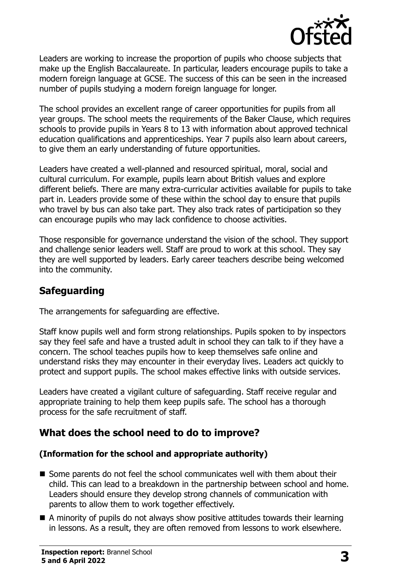

Leaders are working to increase the proportion of pupils who choose subjects that make up the English Baccalaureate. In particular, leaders encourage pupils to take a modern foreign language at GCSE. The success of this can be seen in the increased number of pupils studying a modern foreign language for longer.

The school provides an excellent range of career opportunities for pupils from all year groups. The school meets the requirements of the Baker Clause, which requires schools to provide pupils in Years 8 to 13 with information about approved technical education qualifications and apprenticeships. Year 7 pupils also learn about careers, to give them an early understanding of future opportunities.

Leaders have created a well-planned and resourced spiritual, moral, social and cultural curriculum. For example, pupils learn about British values and explore different beliefs. There are many extra-curricular activities available for pupils to take part in. Leaders provide some of these within the school day to ensure that pupils who travel by bus can also take part. They also track rates of participation so they can encourage pupils who may lack confidence to choose activities.

Those responsible for governance understand the vision of the school. They support and challenge senior leaders well. Staff are proud to work at this school. They say they are well supported by leaders. Early career teachers describe being welcomed into the community.

#### **Safeguarding**

The arrangements for safeguarding are effective.

Staff know pupils well and form strong relationships. Pupils spoken to by inspectors say they feel safe and have a trusted adult in school they can talk to if they have a concern. The school teaches pupils how to keep themselves safe online and understand risks they may encounter in their everyday lives. Leaders act quickly to protect and support pupils. The school makes effective links with outside services.

Leaders have created a vigilant culture of safeguarding. Staff receive regular and appropriate training to help them keep pupils safe. The school has a thorough process for the safe recruitment of staff.

## **What does the school need to do to improve?**

#### **(Information for the school and appropriate authority)**

- Some parents do not feel the school communicates well with them about their child. This can lead to a breakdown in the partnership between school and home. Leaders should ensure they develop strong channels of communication with parents to allow them to work together effectively.
- $\blacksquare$  A minority of pupils do not always show positive attitudes towards their learning in lessons. As a result, they are often removed from lessons to work elsewhere.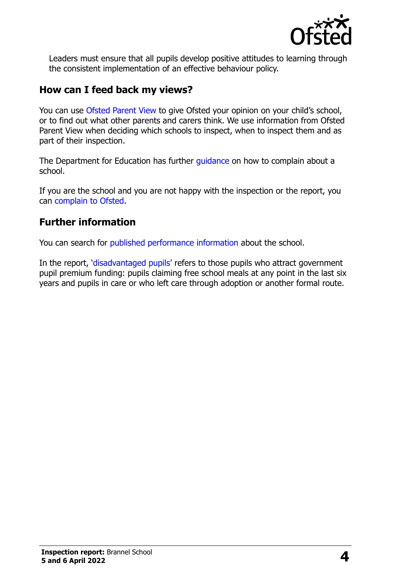

Leaders must ensure that all pupils develop positive attitudes to learning through the consistent implementation of an effective behaviour policy.

#### **How can I feed back my views?**

You can use [Ofsted Parent View](http://parentview.ofsted.gov.uk/) to give Ofsted your opinion on your child's school, or to find out what other parents and carers think. We use information from Ofsted Parent View when deciding which schools to inspect, when to inspect them and as part of their inspection.

The Department for Education has further quidance on how to complain about a school.

If you are the school and you are not happy with the inspection or the report, you can [complain to Ofsted.](http://www.gov.uk/complain-ofsted-report)

## **Further information**

You can search for [published performance information](http://www.compare-school-performance.service.gov.uk/) about the school.

In the report, '[disadvantaged pupils](http://www.gov.uk/guidance/pupil-premium-information-for-schools-and-alternative-provision-settings)' refers to those pupils who attract government pupil premium funding: pupils claiming free school meals at any point in the last six years and pupils in care or who left care through adoption or another formal route.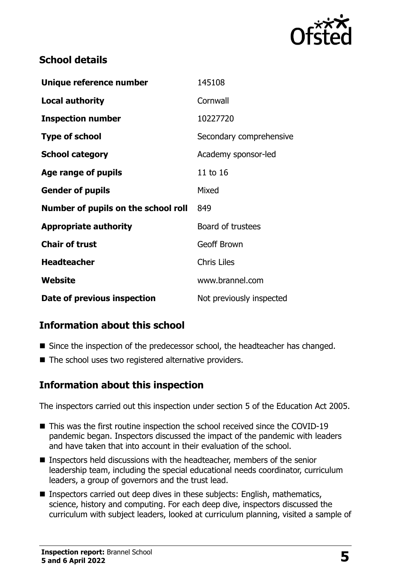

## **School details**

| Unique reference number             | 145108                   |
|-------------------------------------|--------------------------|
| Local authority                     | Cornwall                 |
| <b>Inspection number</b>            | 10227720                 |
| <b>Type of school</b>               | Secondary comprehensive  |
| <b>School category</b>              | Academy sponsor-led      |
| Age range of pupils                 | 11 to 16                 |
| <b>Gender of pupils</b>             | Mixed                    |
| Number of pupils on the school roll | 849                      |
| <b>Appropriate authority</b>        | Board of trustees        |
| <b>Chair of trust</b>               | <b>Geoff Brown</b>       |
| <b>Headteacher</b>                  | <b>Chris Liles</b>       |
| Website                             | www.brannel.com          |
| Date of previous inspection         | Not previously inspected |

## **Information about this school**

- Since the inspection of the predecessor school, the headteacher has changed.
- The school uses two registered alternative providers.

#### **Information about this inspection**

The inspectors carried out this inspection under section 5 of the Education Act 2005.

- This was the first routine inspection the school received since the COVID-19 pandemic began. Inspectors discussed the impact of the pandemic with leaders and have taken that into account in their evaluation of the school.
- Inspectors held discussions with the headteacher, members of the senior leadership team, including the special educational needs coordinator, curriculum leaders, a group of governors and the trust lead.
- Inspectors carried out deep dives in these subjects: English, mathematics, science, history and computing. For each deep dive, inspectors discussed the curriculum with subject leaders, looked at curriculum planning, visited a sample of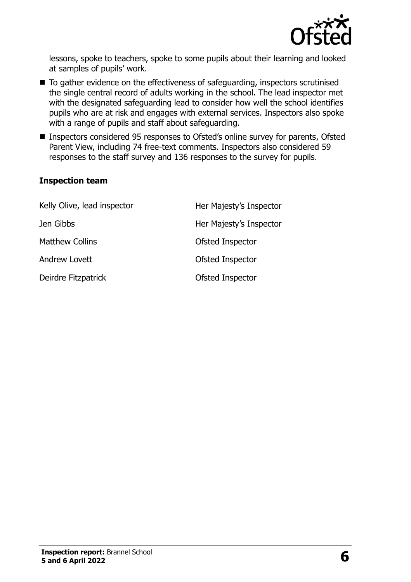

lessons, spoke to teachers, spoke to some pupils about their learning and looked at samples of pupils' work.

- To gather evidence on the effectiveness of safeguarding, inspectors scrutinised the single central record of adults working in the school. The lead inspector met with the designated safeguarding lead to consider how well the school identifies pupils who are at risk and engages with external services. Inspectors also spoke with a range of pupils and staff about safeguarding.
- Inspectors considered 95 responses to Ofsted's online survey for parents, Ofsted Parent View, including 74 free-text comments. Inspectors also considered 59 responses to the staff survey and 136 responses to the survey for pupils.

#### **Inspection team**

| Kelly Olive, lead inspector | Her Majesty's Inspector |
|-----------------------------|-------------------------|
| Jen Gibbs                   | Her Majesty's Inspector |
| <b>Matthew Collins</b>      | Ofsted Inspector        |
| Andrew Lovett               | Ofsted Inspector        |
| Deirdre Fitzpatrick         | Ofsted Inspector        |